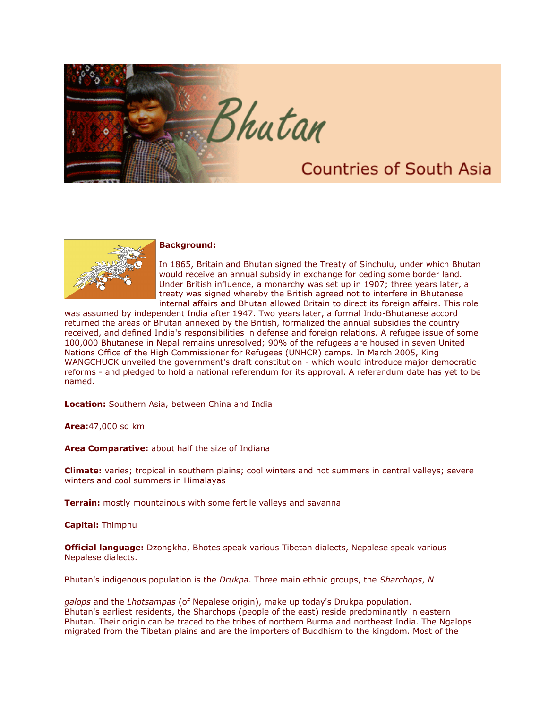



## **Background:**

In 1865, Britain and Bhutan signed the Treaty of Sinchulu, under which Bhutan would receive an annual subsidy in exchange for ceding some border land. Under British influence, a monarchy was set up in 1907; three years later, a treaty was signed whereby the British agreed not to interfere in Bhutanese internal affairs and Bhutan allowed Britain to direct its foreign affairs. This role

was assumed by independent India after 1947. Two years later, a formal Indo-Bhutanese accord returned the areas of Bhutan annexed by the British, formalized the annual subsidies the country received, and defined India's responsibilities in defense and foreign relations. A refugee issue of some 100,000 Bhutanese in Nepal remains unresolved; 90% of the refugees are housed in seven United Nations Office of the High Commissioner for Refugees (UNHCR) camps. In March 2005, King WANGCHUCK unveiled the government's draft constitution - which would introduce major democratic reforms - and pledged to hold a national referendum for its approval. A referendum date has yet to be named.

**Location:** Southern Asia, between China and India

**Area:**47,000 sq km

**Area Comparative:** about half the size of Indiana

**Climate:** varies; tropical in southern plains; cool winters and hot summers in central valleys; severe winters and cool summers in Himalayas

**Terrain:** mostly mountainous with some fertile valleys and savanna

**Capital:** Thimphu

**Official language:** Dzongkha, Bhotes speak various Tibetan dialects, Nepalese speak various Nepalese dialects.

Bhutan's indigenous population is the *Drukpa*. Three main ethnic groups, the *Sharchops*, *N*

*galops* and the *Lhotsampas* (of Nepalese origin), make up today's Drukpa population. Bhutan's earliest residents, the Sharchops (people of the east) reside predominantly in eastern Bhutan. Their origin can be traced to the tribes of northern Burma and northeast India. The Ngalops migrated from the Tibetan plains and are the importers of Buddhism to the kingdom. Most of the